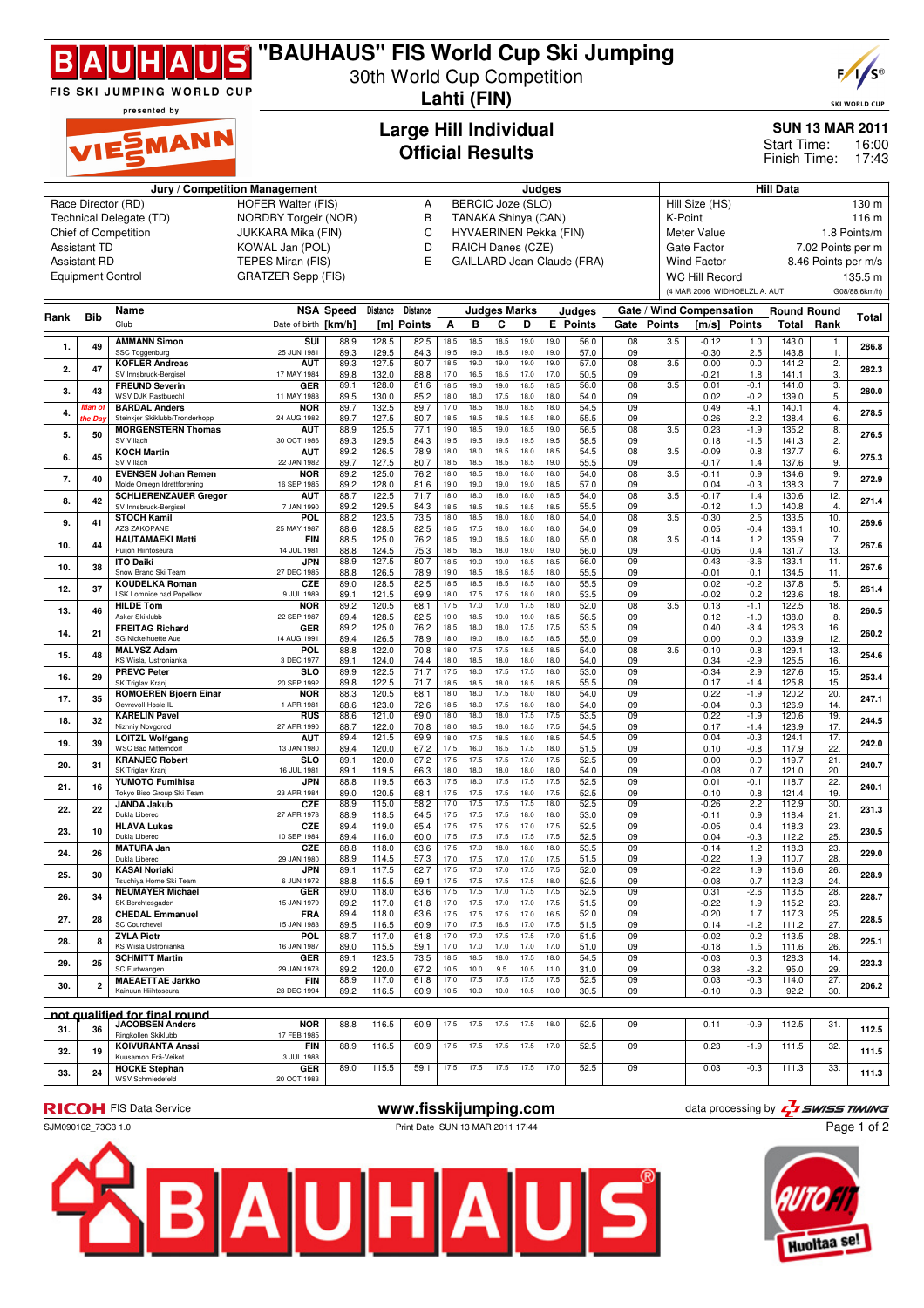

# **"BAUHAUS" FIS World Cup Ski Jumping**

30th World Cup Competition **Lahti (FIN)**



**SKI WORLD CUP** 

16:00

**SUN 13 MAR 2011**

Finish Time: 17:43 Start Time:

presented by EMANN

### **Large Hill Individual Official Results**

| Jury / Competition Management                                                                                                                    |                                        |                                                             |                           |                  |                |                 |                          | Judges            |                     |              |              |                            |                       |               | <b>Hill Data</b>            |                              |                    |                     |               |
|--------------------------------------------------------------------------------------------------------------------------------------------------|----------------------------------------|-------------------------------------------------------------|---------------------------|------------------|----------------|-----------------|--------------------------|-------------------|---------------------|--------------|--------------|----------------------------|-----------------------|---------------|-----------------------------|------------------------------|--------------------|---------------------|---------------|
|                                                                                                                                                  |                                        |                                                             |                           |                  |                |                 |                          |                   |                     |              |              |                            |                       |               |                             |                              |                    |                     |               |
|                                                                                                                                                  |                                        | Race Director (RD)                                          | <b>HOFER Walter (FIS)</b> |                  |                |                 | BERCIC Joze (SLO)<br>Α   |                   |                     |              |              |                            |                       |               | Hill Size (HS)<br>130 m     |                              |                    |                     |               |
|                                                                                                                                                  |                                        | Technical Delegate (TD)                                     | NORDBY Torgeir (NOR)      |                  |                |                 | B<br>TANAKA Shinya (CAN) |                   |                     |              |              |                            |                       |               | K-Point<br>116 m            |                              |                    |                     |               |
|                                                                                                                                                  |                                        | Chief of Competition                                        | <b>JUKKARA Mika (FIN)</b> |                  |                | C               | HYVAERINEN Pekka (FIN)   |                   |                     |              |              |                            |                       |               | Meter Value<br>1.8 Points/m |                              |                    |                     |               |
|                                                                                                                                                  | KOWAL Jan (POL)<br><b>Assistant TD</b> |                                                             |                           |                  |                |                 |                          | RAICH Danes (CZE) |                     |              |              |                            |                       |               | Gate Factor                 |                              |                    | 7.02 Points per m   |               |
|                                                                                                                                                  | <b>Assistant RD</b>                    |                                                             | TEPES Miran (FIS)         |                  |                | D<br>E          |                          |                   |                     |              |              | GAILLARD Jean-Claude (FRA) |                       |               | <b>Wind Factor</b>          |                              |                    | 8.46 Points per m/s |               |
|                                                                                                                                                  |                                        |                                                             | <b>GRATZER Sepp (FIS)</b> |                  |                |                 |                          |                   |                     |              |              |                            |                       |               |                             |                              |                    |                     |               |
|                                                                                                                                                  |                                        | <b>Equipment Control</b>                                    |                           |                  |                |                 |                          |                   |                     |              |              |                            |                       |               | <b>WC Hill Record</b>       |                              |                    |                     | 135.5 m       |
|                                                                                                                                                  |                                        |                                                             |                           |                  |                |                 |                          |                   |                     |              |              |                            |                       |               |                             | (4 MAR 2006 WIDHOELZL A. AUT |                    |                     | G08/88.6km/h) |
|                                                                                                                                                  |                                        | Name                                                        |                           | <b>NSA Speed</b> | Distance       | <b>Distance</b> |                          |                   | <b>Judges Marks</b> |              |              | Judges                     |                       |               | Gate / Wind Compensation    |                              | <b>Round Round</b> |                     |               |
| Rank                                                                                                                                             | Bib                                    | Club                                                        | Date of birth [km/h]      |                  |                | [m] Points      | Α                        | в                 | c                   | D            |              | <b>E</b> Points            | Gate                  | <b>Points</b> | [m/s]                       | <b>Points</b>                | Total              | Rank                | Total         |
|                                                                                                                                                  |                                        |                                                             | $\overline{\text{su}}$    |                  |                |                 |                          |                   |                     |              |              |                            |                       |               |                             |                              |                    |                     |               |
| 1.                                                                                                                                               | 49                                     | <b>AMMANN Simon</b><br>SSC Toggenburg                       | 25 JUN 1981               | 88.9<br>89.3     | 128.5<br>129.5 | 82.5<br>84.3    | 18.5<br>19.5             | 18.5<br>19.0      | 18.5<br>18.5        | 19.0<br>19.0 | 19.0<br>19.0 | 56.0<br>57.0               | $\overline{08}$<br>09 | 3.5           | $-0.12$<br>$-0.30$          | 1.0<br>2.5                   | 143.0<br>143.8     | 1.<br>1.            | 286.8         |
|                                                                                                                                                  |                                        | <b>KOFLER Andreas</b>                                       | AUT                       | 89.3             | 127.5          | 80.7            | 18.5                     | 19.0              | 19.0                | 19.0         | 19.0         | 57.0                       | 08                    | 3.5           | 0.00                        | 0.0                          | 141.2              | $\overline{2}$ .    |               |
| 2.                                                                                                                                               | 47                                     | SV Innsbruck-Bergisel                                       | 17 MAY 1984               | 89.8             | 132.0          | 88.8            | 17.0                     | 16.5              | 16.5                | 17.0         | 17.0         | 50.5                       | 09                    |               | $-0.21$                     | 1.8                          | 141.1              | 3.                  | 282.3         |
| 3.                                                                                                                                               | 43                                     | <b>FREUND Severin</b>                                       | GER                       | 89.1             | 128.0          | 81.6            | 18.5                     | 19.0              | 19.0                | 18.5         | 18.5         | 56.0                       | 08                    | 3.5           | 0.01                        | $-0.1$                       | 141.0              | 3.                  | 280.0         |
|                                                                                                                                                  |                                        | WSV DJK Rastbuechl                                          | 11 MAY 1988               | 89.5             | 130.0          | 85.2            | 18.0                     | 18.0              | 17.5                | 18.0         | 18.0         | 54.0                       | 09                    |               | 0.02                        | $-0.2$                       | 139.0              | 5.                  |               |
| 4.                                                                                                                                               | Man ol                                 | <b>BARDAL Anders</b>                                        | <b>NOR</b>                | 89.7             | 132.5          | 89.7            | 17.0                     | 18.5              | 18.0<br>18.5        | 18.5         | 18.0<br>18.0 | 54.5                       | 09                    |               | 0.49                        | $-4.1$                       | 140.1              | 4.                  | 278.5         |
|                                                                                                                                                  | he Day                                 | Steinkjer Skiklubb/Tronderhopp<br><b>MORGENSTERN Thomas</b> | 24 AUG 1982<br><b>AUT</b> | 89.7<br>88.9     | 127.5<br>125.5 | 80.7<br>77.1    | 18.5<br>19.0             | 18.5<br>18.5      | 19.0                | 18.5<br>18.5 | 19.0         | 55.5<br>56.5               | 09<br>08              | 3.5           | $-0.26$<br>0.23             | 2.2<br>$-1.9$                | 138.4<br>135.2     | 6.<br>8.            |               |
| 5.                                                                                                                                               | 50                                     | SV Villach                                                  | 30 OCT 1986               | 89.3             | 129.5          | 84.3            | 19.5                     | 19.5              | 19.5                | 19.5         | 19.5         | 58.5                       | 09                    |               | 0.18                        | $-1.5$                       | 141.3              | 2.                  | 276.5         |
|                                                                                                                                                  | 45                                     | <b>KOCH Martin</b>                                          | AUT                       | 89.2             | 126.5          | 78.9            | 18.0                     | 18.0              | 18.5                | 18.0         | 18.5         | 54.5                       | $\overline{08}$       | 3.5           | $-0.09$                     | 0.8                          | 137.7              | 6.                  | 275.3         |
| 6.                                                                                                                                               |                                        | SV Villach                                                  | 22 JAN 1982               | 89.7             | 127.5          | 80.7            | 18.5                     | 18.5              | 18.5                | 18.5         | 19.0         | 55.5                       | 09                    |               | $-0.17$                     | 1.4                          | 137.6              | 9.                  |               |
| 7.                                                                                                                                               | 40                                     | <b>EVENSEN Johan Remen</b>                                  | <b>NOR</b>                | 89.2             | 125.0          | 76.2            | 18.0                     | 18.5              | 18.0                | 18.0         | 18.0         | 54.0                       | 08                    | 3.5           | $-0.11$                     | 0.9                          | 134.6              | 9.                  | 272.9         |
|                                                                                                                                                  |                                        | Molde Omegn Idrettforening                                  | 16 SEP 1985               | 89.2             | 128.0          | 81.6            | 19.0<br>18.0             | 19.0<br>18.0      | 19.0<br>18.0        | 19.0<br>18.0 | 18.5<br>18.5 | 57.0<br>54.0               | 09<br>08              | 3.5           | 0.04                        | $-0.3$<br>1.4                | 138.3              | 7.<br>12.           |               |
| 8.                                                                                                                                               | 42                                     | <b>SCHLIERENZAUER Gregor</b><br>SV Innsbruck-Bergisel       | AUT<br>7 JAN 1990         | 88.7<br>89.2     | 122.5<br>129.5 | 71.7<br>84.3    | 18.5                     | 18.5              | 18.5                | 18.5         | 18.5         | 55.5                       | 09                    |               | $-0.17$<br>-0.12            | 1.0                          | 130.6<br>140.8     | 4.                  | 271.4         |
|                                                                                                                                                  |                                        | <b>STOCH Kamil</b>                                          | POL.                      | 88.2             | 123.5          | 73.5            | 18.0                     | 18.5              | 18.0                | 18.0         | 18.0         | 54.0                       | 08                    | 3.5           | $-0.30$                     | 2.5                          | 133.5              | 10.                 |               |
| 9.                                                                                                                                               | 41                                     | AZS ZAKOPANE                                                | 25 MAY 1987               | 88.6             | 128.5          | 82.5            | 18.5                     | 17.5              | 18.0                | 18.0         | 18.0         | 54.0                       | 09                    |               | 0.05                        | $-0.4$                       | 136.1              | 10.                 | 269.6         |
| 10.                                                                                                                                              | 44                                     | <b>HAUTAMAEKI Matti</b>                                     | <b>FIN</b>                | 88.5             | 125.0          | 76.2            | 18.5                     | 19.0              | 18.5                | 18.0         | 18.0         | 55.0                       | 08                    | 3.5           | $-0.14$                     | 1.2                          | 135.9              | 7.                  | 267.6         |
|                                                                                                                                                  |                                        | Puijon Hiihtoseura                                          | 14 JUL 1981               | 88.8             | 124.5          | 75.3            | 18.5                     | 18.5              | 18.0                | 19.0         | 19.0         | 56.0                       | 09                    |               | $-0.05$                     | 0.4                          | 131.7              | 13.                 |               |
| 10.                                                                                                                                              | 38                                     | <b>ITO Daiki</b><br>Snow Brand Ski Team                     | JPN<br>27 DEC 1985        | 88.9<br>88.8     | 127.5<br>126.5 | 80.7<br>78.9    | 18.5<br>19.0             | 19.0<br>18.5      | 19.0<br>18.5        | 18.5<br>18.5 | 18.5<br>18.0 | 56.0<br>55.5               | 09<br>09              |               | 0.43<br>$-0.01$             | $-3.6$<br>0.1                | 133.1<br>134.5     | 11.<br>11.          | 267.6         |
|                                                                                                                                                  |                                        | <b>KOUDELKA Roman</b>                                       | <b>CZE</b>                | 89.0             | 128.5          | 82.5            | 18.5                     | 18.5              | 18.5                | 18.5         | 18.0         | 55.5                       | 09                    |               | 0.02                        | $-0.2$                       | 137.8              | 5.                  |               |
| 12.                                                                                                                                              | 37                                     | LSK Lomnice nad Popelkov                                    | 9 JUL 1989                | 89.1             | 121.5          | 69.9            | 18.0                     | 17.5              | 17.5                | 18.0         | 18.0         | 53.5                       | 09                    |               | $-0.02$                     | 0.2                          | 123.6              | 18.                 | 261.4         |
| 13.                                                                                                                                              | 46                                     | <b>HILDE Tom</b>                                            | <b>NOR</b>                | 89.2             | 120.5          | 68.1            | 17.5                     | 17.0              | 17.0                | 17.5         | 18.0         | 52.0                       | 08                    | 3.5           | 0.13                        | $-1.1$                       | 122.5              | 18.                 | 260.5         |
|                                                                                                                                                  |                                        | Asker Skiklubb                                              | 22 SEP 1987               | 89.4             | 128.5          | 82.5            | 19.0                     | 18.5              | 19.0                | 19.0         | 18.5         | 56.5                       | 09                    |               | 0.12                        | $-1.0$                       | 138.0              | 8.                  |               |
| 14.                                                                                                                                              | 21                                     | <b>FREITAG Richard</b>                                      | GER                       | 89.2             | 125.0          | 76.2            | 18.5                     | 18.0              | 18.0                | 17.5         | 17.5         | 53.5                       | 09                    |               | 0.40                        | $-3.4$                       | 126.3              | 16.                 | 260.2         |
|                                                                                                                                                  |                                        | SG Nickelhuette Aue<br><b>MALYSZ Adam</b>                   | 14 AUG 1991<br>POL        | 89.4<br>88.8     | 126.5<br>122.0 | 78.9<br>70.8    | 18.0<br>18.0             | 19.0<br>17.5      | 18.0<br>17.5        | 18.5<br>18.5 | 18.5<br>18.5 | 55.0<br>54.0               | 09<br>08              | 3.5           | 0.00<br>$-0.10$             | 0.0<br>0.8                   | 133.9<br>129.1     | 12.<br>13.          |               |
| 15.                                                                                                                                              | 48                                     | KS Wisla, Ustronianka                                       | 3 DEC 1977                | 89.1             | 124.0          | 74.4            | 18.0                     | 18.5              | 18.0                | 18.0         | 18.0         | 54.0                       | 09                    |               | 0.34                        | $-2.9$                       | 125.5              | 16.                 | 254.6         |
|                                                                                                                                                  |                                        | <b>PREVC Peter</b>                                          | <b>SLO</b>                | 89.9             | 122.5          | 71.7            | 17.5                     | 18.0              | 17.5                | 17.5         | 18.0         | 53.0                       | 09                    |               | $-0.34$                     | 2.9                          | 127.6              | 15.                 |               |
| 16.                                                                                                                                              | 29                                     | SK Triglav Kranj                                            | 20 SEP 1992               | 89.8             | 122.5          | 71.7            | 18.5                     | 18.5              | 18.0                | 18.5         | 18.5         | 55.5                       | 09                    |               | 0.17                        | $-1.4$                       | 125.8              | 15.                 | 253.4         |
| 17.                                                                                                                                              | 35                                     | <b>ROMOEREN Bjoern Einar</b>                                | <b>NOR</b>                | 88.3             | 120.5          | 68.1            | 18.0                     | 18.0              | 17.5                | 18.0         | 18.0         | 54.0                       | 09                    |               | 0.22                        | $-1.9$                       | 120.2              | 20.                 | 247.1         |
|                                                                                                                                                  |                                        | Oevrevoll Hosle IL<br><b>KARELIN Pavel</b>                  | 1 APR 1981<br><b>RUS</b>  | 88.6<br>88.6     | 123.0<br>121.0 | 72.6<br>69.0    | 18.5<br>18.0             | 18.0<br>18.0      | 17.5<br>18.0        | 18.0<br>17.5 | 18.0<br>17.5 | 54.0<br>53.5               | 09<br>09              |               | $-0.04$<br>0.22             | 0.3<br>$-1.9$                | 126.9<br>120.6     | 14.<br>19.          |               |
| 18.                                                                                                                                              | 32                                     | Nizhniy Novgorod                                            | 27 APR 1990               | 88.7             | 122.0          | 70.8            | 18.0                     | 18.5              | 18.0                | 18.5         | 17.5         | 54.5                       | 09                    |               | 0.17                        | $-1.4$                       | 123.9              | 17.                 | 244.5         |
|                                                                                                                                                  |                                        | <b>LOITZL Wolfgang</b>                                      | AUT                       | 89.4             | 121.5          | 69.9            | 18.0                     | 17.5              | 18.5                | 18.0         | 18.5         | 54.5                       | 09                    |               | 0.04                        | $-0.3$                       | 124.1              | 17.                 |               |
| 19.                                                                                                                                              | 39                                     | <b>WSC Bad Mitterndorf</b>                                  | 13 JAN 1980               | 89.4             | 120.0          | 67.2            | 17.5                     | 16.0              | 16.5                | 17.5         | 18.0         | 51.5                       | 09                    |               | 0.10                        | $-0.8$                       | 117.9              | 22.                 | 242.0         |
| 20.                                                                                                                                              | 31                                     | <b>KRANJEC Robert</b>                                       | <b>SLO</b>                | 89.1             | 120.0          | 67.2            | 17.5                     | 17.5              | 17.5                | 17.0         | 17.5         | 52.5                       | 09                    |               | 0.00                        | 0.0                          | 119.7              | 21.                 | 240.7         |
|                                                                                                                                                  |                                        | SK Triglav Kranj                                            | 16 JUL 1981               | 89.1             | 119.5          | 66.3            | 18.0                     | 18.0              | 18.0                | 18.0         | 18.0         | 54.0                       | 09                    |               | $-0.08$                     | 0.7                          | 121.0              | 20.                 |               |
| 21.                                                                                                                                              | 16                                     | <b>YUMOTO Fumihisa</b><br>Tokyo Biso Group Ski Team         | <b>JPN</b><br>23 APR 1984 | 88.8<br>89.0     | 119.5<br>120.5 | 66.3<br>68.1    | 17.5<br>17.5             | 18.0<br>17.5      | 17.5<br>17.5        | 17.5<br>18.0 | 17.5<br>17.5 | 52.5<br>52.5               | 09<br>09              |               | 0.01<br>$-0.10$             | $-0.1$<br>0.8                | 118.7<br>121.4     | 22.<br>19.          | 240.1         |
|                                                                                                                                                  |                                        | <b>JANDA Jakub</b>                                          | CZE                       | 88.9             | 115.0          | 58.2            | 17.0                     | 17.5              | 17.5                | 17.5         | 18.0         | 52.5                       | 09                    |               | $-0.26$                     | 2.2                          | 112.9              | 30.                 |               |
| 22.                                                                                                                                              | 22                                     | Dukla Liberec                                               | 27 APR 1978               | 88.9             | 118.5          | 64.5            | 17.5                     | 17.5              | 17.5                | 18.0         | 18.0         | 53.0                       | 09                    |               | $-0.11$                     | 0.9                          | 118.4              | 21.                 | 231.3         |
| 23.                                                                                                                                              | 10                                     | <b>HLAVA Lukas</b>                                          | CZE                       | 89.4             | 119.0          | 65.4            | 17.5                     | 17.5              | 17.5                | 17.0         | 17.5         | 52.5                       | 09                    |               | $-0.05$                     | 0.4                          | 118.3              | 23.                 | 230.5         |
|                                                                                                                                                  |                                        | Dukla Liberec                                               | 10 SEP 1984               | 89.4             | 116.0          | 60.0            | 17.5                     | 17.5              | 17.5                | 17.5         | 17.5         | 52.5                       | 09                    |               | 0.04                        | $-0.3$                       | 112.2              | 25.                 |               |
| 24.                                                                                                                                              | 26                                     | <b>MATURA Jan</b><br>Dukla Liberec                          | CZE                       | 88.8             | 118.0          | 63.6            | 17.5<br>17.0             | 17.0              | 18.0                | 18.0         | 18.0         | 53.5                       | 09                    |               | $-0.14$                     | $1.2$                        | 118.3              | 23.                 | 229.0         |
|                                                                                                                                                  |                                        | <b>KASAI Noriaki</b>                                        | 29 JAN 1980<br><b>JPN</b> | 88.9<br>89.1     | 114.5<br>117.5 | 57.3<br>62.7    | 17.5                     | 17.5<br>17.0      | 17.0<br>17.0        | 17.0<br>17.5 | 17.5<br>17.5 | 51.5<br>52.0               | 09<br>09              |               | $-0.22$<br>$-0.22$          | 1.9<br>1.9                   | 110.7<br>116.6     | 28.<br>26.          |               |
| 25.                                                                                                                                              | 30                                     | Tsuchiya Home Ski Team                                      | 6 JUN 1972                | 88.8             | 115.5          | 59.1            | 17.5                     | 17.5              | 17.5                | 17.5         | 18.0         | 52.5                       | 09                    |               | $-0.08$                     | 0.7                          | 112.3              | 24.                 | 228.9         |
| 26.                                                                                                                                              | 34                                     | <b>NEUMAYER Michael</b>                                     | GER                       | 89.0             | 118.0          | 63.6            | 17.5                     | 17.5              | 17.0                | 17.5         | 17.5         | 52.5                       | 09                    |               | 0.31                        | $-2.6$                       | 113.5              | 28.                 | 228.7         |
|                                                                                                                                                  |                                        | SK Berchtesgaden                                            | 15 JAN 1979               | 89.2             | 117.0          | 61.8            | 17.0                     | 17.5              | 17.0                | 17.0         | 17.5         | 51.5                       | 09                    |               | $-0.22$                     | 1.9                          | 115.2              | 23.                 |               |
| 27.                                                                                                                                              | 28                                     | <b>CHEDAL Emmanuel</b>                                      | <b>FRA</b>                | 89.4             | 118.0          | 63.6            | 17.5                     | 17.5              | 17.5                | 17.0         | 16.5         | 52.0                       | 09                    |               | $-0.20$                     | 1.7                          | 117.3              | 25.                 | 228.5         |
|                                                                                                                                                  |                                        | <b>SC Courchevel</b><br><b>ZYLA Piotr</b>                   | 15 JAN 1983<br><b>POL</b> | 89.5<br>88.7     | 116.5<br>117.0 | 60.9<br>61.8    | 17.0<br>17.0             | 17.5<br>17.0      | 16.5<br>17.5        | 17.0<br>17.5 | 17.5<br>17.0 | 51.5<br>51.5               | 09<br>09              |               | 0.14<br>$-0.02$             | $-1.2$<br>0.2                | 111.2<br>113.5     | 27.<br>28.          |               |
| 28.                                                                                                                                              | 8                                      | KS Wisla Ustronianka                                        | 16 JAN 1987               | 89.0             | 115.5          | 59.1            | 17.0                     | 17.0              | 17.0                | 17.0         | 17.0         | 51.0                       | 09                    |               | $-0.18$                     | 1.5                          | 111.6              | 26.                 | 225.1         |
| 29.                                                                                                                                              | 25                                     | <b>SCHMITT Martin</b>                                       | GER                       | 89.1             | 123.5          | 73.5            | 18.5                     | 18.5              | 18.0                | 17.5         | 18.0         | 54.5                       | 09                    |               | $-0.03$                     | 0.3                          | 128.3              | 14.                 | 223.3         |
|                                                                                                                                                  |                                        | SC Furtwangen                                               | 29 JAN 1978               | 89.2             | 120.0          | 67.2            | 10.5                     | 10.0              | 9.5                 | 10.5         | 11.0         | 31.0                       | 09                    |               | 0.38                        | $-3.2$                       | 95.0               | 29.                 |               |
| 30.                                                                                                                                              | $\overline{2}$                         | <b>MAEAETTAE Jarkko</b>                                     | <b>FIN</b>                | 88.9             | 117.0          | 61.8            | 17.0                     | 17.5              | 17.5                | 17.5         | 17.5         | 52.5                       | 09                    |               | 0.03                        | $-0.3$                       | 114.0              | 27.                 | 206.2         |
| Kainuun Hiihtoseura<br>28 DEC 1994<br>10.5<br>30.<br>89.2<br>116.5<br>60.9<br>10.5<br>10.0<br>10.0<br>10.0<br>30.5<br>09<br>0.8<br>92.2<br>-0.10 |                                        |                                                             |                           |                  |                |                 |                          |                   |                     |              |              |                            |                       |               |                             |                              |                    |                     |               |
|                                                                                                                                                  |                                        | not qualified for final round                               |                           |                  |                |                 |                          |                   |                     |              |              |                            |                       |               |                             |                              |                    |                     |               |
|                                                                                                                                                  |                                        | <b>JACOBSEN Anders</b>                                      | <b>NOR</b>                | 88.8             | 116.5          | 60.9            | 17.5                     | 17.5              | 17.5                | 17.5         | 18.0         | 52.5                       | 09                    |               | 0.11                        | $-0.9$                       | 112.5              | 31.                 |               |
| 31.                                                                                                                                              | 36                                     | Ringkollen Skiklubb                                         | 17 FEB 1985               |                  |                |                 |                          |                   |                     |              |              |                            |                       |               |                             |                              |                    |                     | 112.5         |
| 32.                                                                                                                                              | 19                                     | <b>KOIVURANTA Anssi</b>                                     | <b>FIN</b>                | 88.9             | 116.5          | 60.9            | 17.5                     | 17.5              | 17.5                | 17.5         | 17.0         | 52.5                       | 09                    |               | 0.23                        | $-1.9$                       | 111.5              | 32.                 | 111.5         |
|                                                                                                                                                  |                                        | Kuusamon Erä-Veikot                                         | 3 JUL 1988                |                  |                |                 |                          |                   |                     |              |              |                            |                       |               |                             |                              |                    |                     |               |
| 33.                                                                                                                                              | 24                                     | <b>HOCKE Stephan</b><br>WSV Schmiedefeld                    | <b>GER</b><br>20 OCT 1983 | 89.0             | 115.5          | 59.1            | 17.5                     | 17.5              | 17.5                | 17.5         | 17.0         | 52.5                       | 09                    |               | 0.03                        | $-0.3$                       | 111.3              | 33.                 | 111.3         |
|                                                                                                                                                  |                                        |                                                             |                           |                  |                |                 |                          |                   |                     |              |              |                            |                       |               |                             |                              |                    |                     |               |

SJM090102\_73C3 1.0 Print Date SUN 13 MAR 2011 17:44





Page 1 of 2